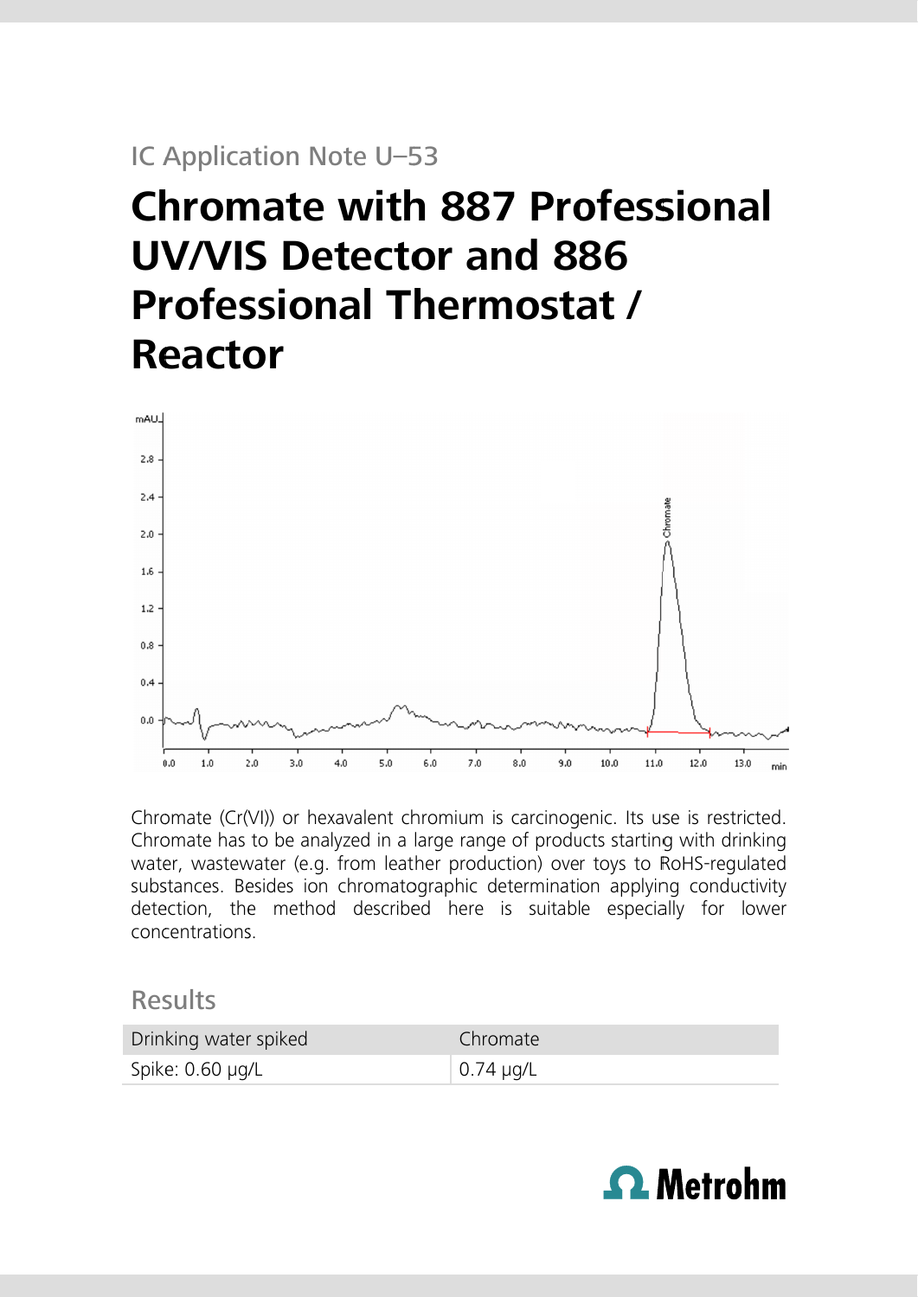## IC Application Note U-53

# **Chromate with 887 Professional UV/VIS Detector and 886 Professional Thermostat / Reactor**



Chromate (Cr(VI)) or hexavalent chromium is carcinogenic. Its use is restricted. Chromate has to be analyzed in a large range of products starting with drinking water, wastewater (e.g. from leather production) over toys to RoHS-regulated substances. Besides ion chromatographic determination applying conductivity detection, the method described here is suitable especially for lower concentrations

### **Results**

| Drinking water spiked | Chromate          |
|-----------------------|-------------------|
| Spike: 0.60 µg/L      | $\perp$ 0.74 µg/L |